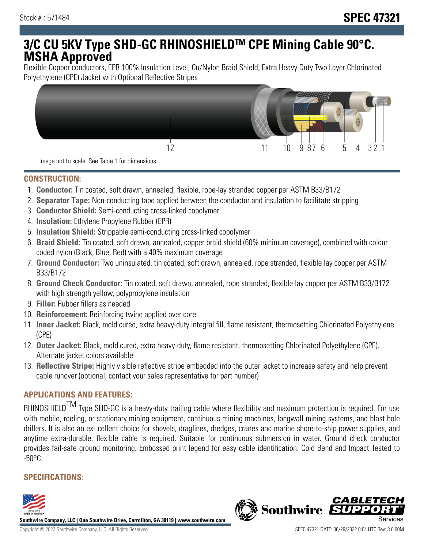# **3/C CU 5KV Type SHD-GC RHINOSHIELDTM CPE Mining Cable 90°C. MSHA Approved**

Flexible Copper conductors, EPR 100% Insulation Level, Cu/Nylon Braid Shield, Extra Heavy Duty Two Layer Chlorinated Polyethylene (CPE) Jacket with Optional Reflective Stripes



Image not to scale. See Table 1 for dimensions.

### **CONSTRUCTION:**

- 1. **Conductor:** Tin coated, soft drawn, annealed, flexible, rope-lay stranded copper per ASTM B33/B172
- 2. **Separator Tape:** Non-conducting tape applied between the conductor and insulation to facilitate stripping
- 3. **Conductor Shield:** Semi-conducting cross-linked copolymer
- 4. **Insulation:** Ethylene Propylene Rubber (EPR)
- 5. **Insulation Shield:** Strippable semi-conducting cross-linked copolymer
- 6. **Braid Shield:** Tin coated, soft drawn, annealed, copper braid shield (60% minimum coverage), combined with colour coded nylon (Black, Blue, Red) with a 40% maximum coverage
- 7. **Ground Conductor:** Two uninsulated, tin coated, soft drawn, annealed, rope stranded, flexible lay copper per ASTM B33/B172
- 8. **Ground Check Conductor:** Tin coated, soft drawn, annealed, rope stranded, flexible lay copper per ASTM B33/B172 with high strength yellow, polypropylene insulation
- 9. **Filler:** Rubber fillers as needed
- 10. **Reinforcement:** Reinforcing twine applied over core
- 11. **Inner Jacket:** Black, mold cured, extra heavy-duty integral fill, flame resistant, thermosetting Chlorinated Polyethylene (CPE)
- 12. **Outer Jacket:** Black, mold cured, extra heavy-duty, flame resistant, thermosetting Chlorinated Polyethylene (CPE). Alternate jacket colors available
- 13. **Reflective Stripe:** Highly visible reflective stripe embedded into the outer jacket to increase safety and help prevent cable runover (optional, contact your sales representative for part number)

# **APPLICATIONS AND FEATURES:**

RHINOSHIELD<sup>TM</sup> Type SHD-GC is a heavy-duty trailing cable where flexibility and maximum protection is required. For use with mobile, reeling, or stationary mining equipment, continuous mining machines, longwall mining systems, and blast hole drillers. It is also an ex- cellent choice for shovels, draglines, dredges, cranes and marine shore-to-ship power supplies, and anytime extra-durable, flexible cable is required. Suitable for continuous submersion in water. Ground check conductor provides fail-safe ground monitoring. Embossed print legend for easy cable identification. Cold Bend and Impact Tested to  $-50^{\circ}$ C.

## **SPECIFICATIONS:**



**Southwire Company, LLC | One Southwire Drive, Carrollton, GA 30119 | www.southwire.com**

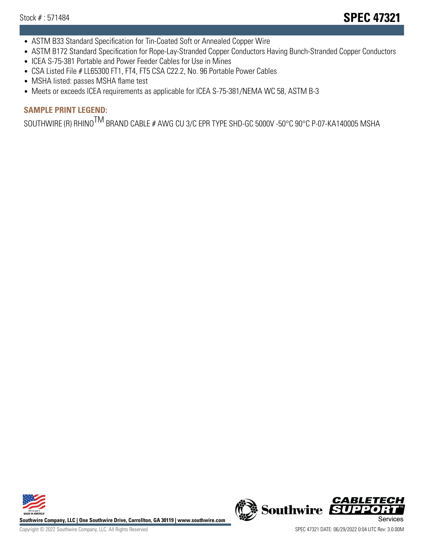- ASTM B33 Standard Specification for Tin-Coated Soft or Annealed Copper Wire
- ASTM B172 Standard Specification for Rope-Lay-Stranded Copper Conductors Having Bunch-Stranded Copper Conductors
- ICEA S-75-381 Portable and Power Feeder Cables for Use in Mines
- CSA Listed File # LL65300 FT1, FT4, FT5 CSA C22.2, No. 96 Portable Power Cables
- MSHA listed: passes MSHA flame test
- Meets or exceeds ICEA requirements as applicable for ICEA S-75-381/NEMA WC 58, ASTM B-3

# **SAMPLE PRINT LEGEND:**

SOUTHWIRE (R) RHINO<sup>TM</sup> BRAND CABLE # AWG CU 3/C EPR TYPE SHD-GC 5000V -50°C 90°C P-07-KA140005 MSHA